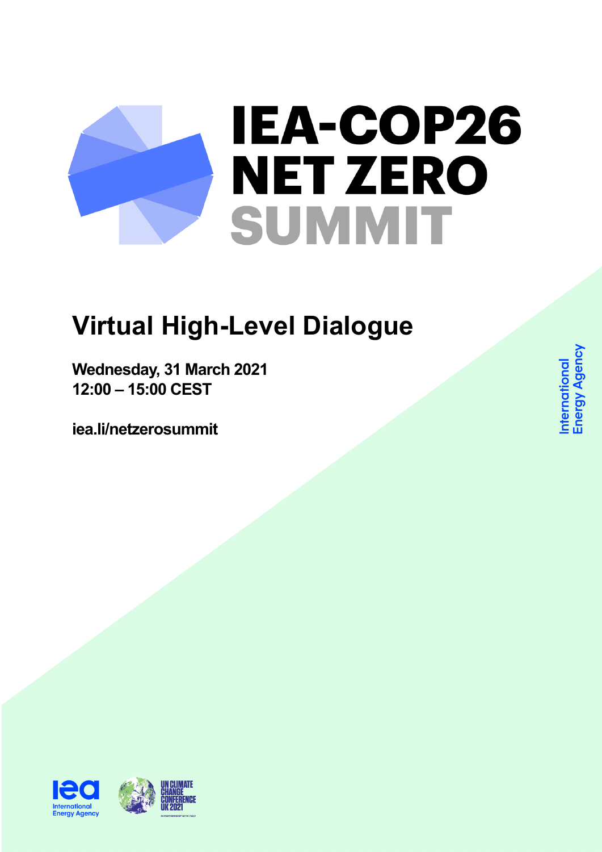## IEA-COP26 **NET ZERO SUMMIT**

## **Virtual High-Level Dialogue**

**Wednesday, 31 March 2021 12:00 – 15:00 CEST**

**iea.li/netzerosummit**

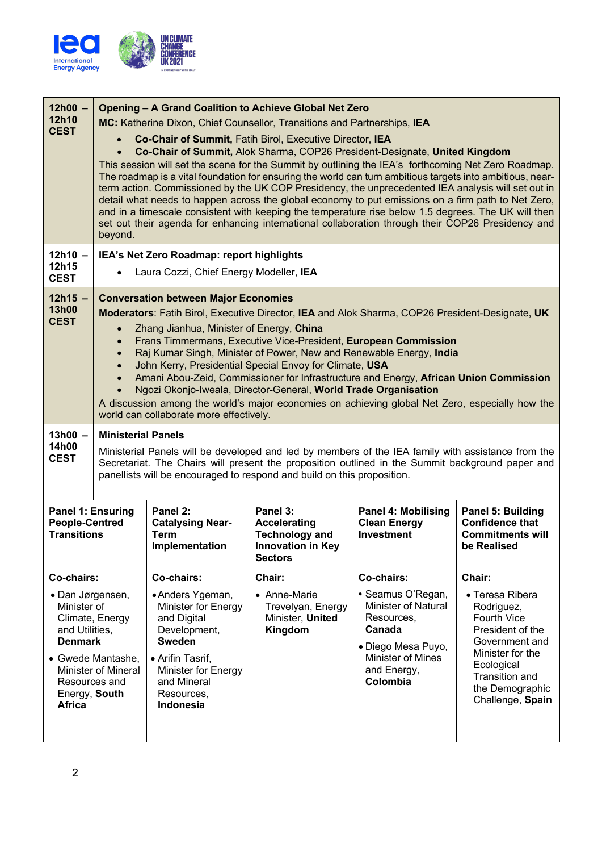

| $12h00 -$<br>12h10<br><b>CEST</b>                                                                                                                                                                          | <b>Opening - A Grand Coalition to Achieve Global Net Zero</b><br>MC: Katherine Dixon, Chief Counsellor, Transitions and Partnerships, IEA<br>Co-Chair of Summit, Fatih Birol, Executive Director, IEA<br>Co-Chair of Summit, Alok Sharma, COP26 President-Designate, United Kingdom<br>This session will set the scene for the Summit by outlining the IEA's forthcoming Net Zero Roadmap.<br>The roadmap is a vital foundation for ensuring the world can turn ambitious targets into ambitious, near-<br>term action. Commissioned by the UK COP Presidency, the unprecedented IEA analysis will set out in<br>detail what needs to happen across the global economy to put emissions on a firm path to Net Zero,<br>and in a timescale consistent with keeping the temperature rise below 1.5 degrees. The UK will then<br>set out their agenda for enhancing international collaboration through their COP26 Presidency and<br>beyond. |                                                                                                                                                                                            |                                                                                                        |                                                                                                                                                             |                                                                                                                                                                                                       |  |
|------------------------------------------------------------------------------------------------------------------------------------------------------------------------------------------------------------|--------------------------------------------------------------------------------------------------------------------------------------------------------------------------------------------------------------------------------------------------------------------------------------------------------------------------------------------------------------------------------------------------------------------------------------------------------------------------------------------------------------------------------------------------------------------------------------------------------------------------------------------------------------------------------------------------------------------------------------------------------------------------------------------------------------------------------------------------------------------------------------------------------------------------------------------|--------------------------------------------------------------------------------------------------------------------------------------------------------------------------------------------|--------------------------------------------------------------------------------------------------------|-------------------------------------------------------------------------------------------------------------------------------------------------------------|-------------------------------------------------------------------------------------------------------------------------------------------------------------------------------------------------------|--|
| $12h10 -$<br>12h15<br><b>CEST</b>                                                                                                                                                                          | IEA's Net Zero Roadmap: report highlights<br>Laura Cozzi, Chief Energy Modeller, IEA                                                                                                                                                                                                                                                                                                                                                                                                                                                                                                                                                                                                                                                                                                                                                                                                                                                       |                                                                                                                                                                                            |                                                                                                        |                                                                                                                                                             |                                                                                                                                                                                                       |  |
| $12h15 -$<br><b>13h00</b><br><b>CEST</b>                                                                                                                                                                   | <b>Conversation between Major Economies</b><br>Moderators: Fatih Birol, Executive Director, IEA and Alok Sharma, COP26 President-Designate, UK<br>Zhang Jianhua, Minister of Energy, China<br>Frans Timmermans, Executive Vice-President, European Commission<br>Raj Kumar Singh, Minister of Power, New and Renewable Energy, India<br>$\bullet$<br>John Kerry, Presidential Special Envoy for Climate, USA<br>Amani Abou-Zeid, Commissioner for Infrastructure and Energy, African Union Commission<br>Ngozi Okonjo-Iweala, Director-General, World Trade Organisation<br>A discussion among the world's major economies on achieving global Net Zero, especially how the<br>world can collaborate more effectively.                                                                                                                                                                                                                     |                                                                                                                                                                                            |                                                                                                        |                                                                                                                                                             |                                                                                                                                                                                                       |  |
| $13h00 -$<br>14h00<br><b>CEST</b>                                                                                                                                                                          | <b>Ministerial Panels</b><br>Ministerial Panels will be developed and led by members of the IEA family with assistance from the<br>Secretariat. The Chairs will present the proposition outlined in the Summit background paper and<br>panellists will be encouraged to respond and build on this proposition.                                                                                                                                                                                                                                                                                                                                                                                                                                                                                                                                                                                                                             |                                                                                                                                                                                            |                                                                                                        |                                                                                                                                                             |                                                                                                                                                                                                       |  |
| Panel 1: Ensuring<br><b>People-Centred</b><br><b>Transitions</b>                                                                                                                                           |                                                                                                                                                                                                                                                                                                                                                                                                                                                                                                                                                                                                                                                                                                                                                                                                                                                                                                                                            | Panel 2:<br><b>Catalysing Near-</b><br><b>Term</b><br>Implementation                                                                                                                       | Panel 3:<br><b>Accelerating</b><br><b>Technology and</b><br><b>Innovation in Key</b><br><b>Sectors</b> | <b>Panel 4: Mobilising</b><br><b>Clean Energy</b><br><b>Investment</b>                                                                                      | Panel 5: Building<br><b>Confidence that</b><br><b>Commitments will</b><br>be Realised                                                                                                                 |  |
| Co-chairs:<br>• Dan Jørgensen,<br>Minister of<br>Climate, Energy<br>and Utilities,<br><b>Denmark</b><br>• Gwede Mantashe,<br><b>Minister of Mineral</b><br>Resources and<br>Energy, South<br><b>Africa</b> |                                                                                                                                                                                                                                                                                                                                                                                                                                                                                                                                                                                                                                                                                                                                                                                                                                                                                                                                            | Co-chairs:<br>• Anders Ygeman,<br>Minister for Energy<br>and Digital<br>Development,<br><b>Sweden</b><br>• Arifin Tasrif,<br>Minister for Energy<br>and Mineral<br>Resources,<br>Indonesia | Chair:<br>• Anne-Marie<br>Trevelyan, Energy<br>Minister, United<br>Kingdom                             | Co-chairs:<br>• Seamus O'Regan,<br><b>Minister of Natural</b><br>Resources,<br>Canada<br>· Diego Mesa Puyo,<br>Minister of Mines<br>and Energy,<br>Colombia | Chair:<br>• Teresa Ribera<br>Rodriguez,<br><b>Fourth Vice</b><br>President of the<br>Government and<br>Minister for the<br>Ecological<br><b>Transition and</b><br>the Demographic<br>Challenge, Spain |  |
|                                                                                                                                                                                                            |                                                                                                                                                                                                                                                                                                                                                                                                                                                                                                                                                                                                                                                                                                                                                                                                                                                                                                                                            |                                                                                                                                                                                            |                                                                                                        |                                                                                                                                                             |                                                                                                                                                                                                       |  |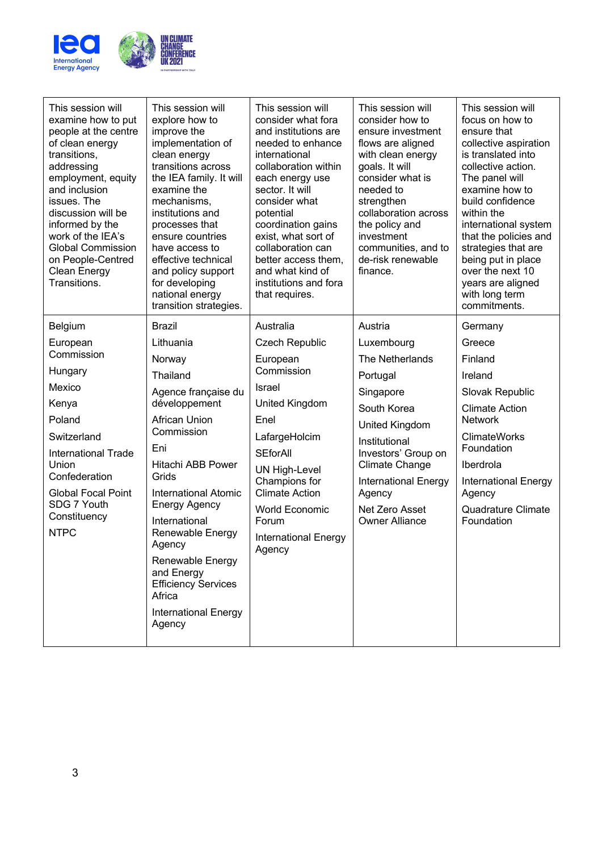

| This session will<br>examine how to put<br>people at the centre<br>of clean energy<br>transitions,<br>addressing<br>employment, equity<br>and inclusion<br>issues. The<br>discussion will be<br>informed by the<br>work of the IEA's<br><b>Global Commission</b><br>on People-Centred<br><b>Clean Energy</b><br>Transitions. | This session will<br>explore how to<br>improve the<br>implementation of<br>clean energy<br>transitions across<br>the IEA family. It will<br>examine the<br>mechanisms,<br>institutions and<br>processes that<br>ensure countries<br>have access to<br>effective technical<br>and policy support<br>for developing<br>national energy<br>transition strategies.                               | This session will<br>consider what fora<br>and institutions are<br>needed to enhance<br>international<br>collaboration within<br>each energy use<br>sector. It will<br>consider what<br>potential<br>coordination gains<br>exist, what sort of<br>collaboration can<br>better access them,<br>and what kind of<br>institutions and fora<br>that requires. | This session will<br>consider how to<br>ensure investment<br>flows are aligned<br>with clean energy<br>goals. It will<br>consider what is<br>needed to<br>strengthen<br>collaboration across<br>the policy and<br>investment<br>communities, and to<br>de-risk renewable<br>finance. | This session will<br>focus on how to<br>ensure that<br>collective aspiration<br>is translated into<br>collective action.<br>The panel will<br>examine how to<br>build confidence<br>within the<br>international system<br>that the policies and<br>strategies that are<br>being put in place<br>over the next 10<br>years are aligned<br>with long term<br>commitments. |
|------------------------------------------------------------------------------------------------------------------------------------------------------------------------------------------------------------------------------------------------------------------------------------------------------------------------------|----------------------------------------------------------------------------------------------------------------------------------------------------------------------------------------------------------------------------------------------------------------------------------------------------------------------------------------------------------------------------------------------|-----------------------------------------------------------------------------------------------------------------------------------------------------------------------------------------------------------------------------------------------------------------------------------------------------------------------------------------------------------|--------------------------------------------------------------------------------------------------------------------------------------------------------------------------------------------------------------------------------------------------------------------------------------|-------------------------------------------------------------------------------------------------------------------------------------------------------------------------------------------------------------------------------------------------------------------------------------------------------------------------------------------------------------------------|
| Belgium<br>European<br>Commission<br>Hungary<br>Mexico<br>Kenya<br>Poland<br>Switzerland<br><b>International Trade</b><br>Union<br>Confederation<br><b>Global Focal Point</b><br>SDG 7 Youth<br>Constituency<br><b>NTPC</b>                                                                                                  | <b>Brazil</b><br>Lithuania<br>Norway<br>Thailand<br>Agence française du<br>développement<br><b>African Union</b><br>Commission<br>Eni<br>Hitachi ABB Power<br>Grids<br><b>International Atomic</b><br><b>Energy Agency</b><br>International<br>Renewable Energy<br>Agency<br>Renewable Energy<br>and Energy<br><b>Efficiency Services</b><br>Africa<br><b>International Energy</b><br>Agency | Australia<br><b>Czech Republic</b><br>European<br>Commission<br>Israel<br>United Kingdom<br>Enel<br>LafargeHolcim<br><b>SEforAll</b><br><b>UN High-Level</b><br>Champions for<br><b>Climate Action</b><br><b>World Economic</b><br>Forum<br>International Energy<br>Agency                                                                                | Austria<br>Luxembourg<br>The Netherlands<br>Portugal<br>Singapore<br>South Korea<br>United Kingdom<br>Institutional<br>Investors' Group on<br><b>Climate Change</b><br><b>International Energy</b><br>Agency<br>Net Zero Asset<br><b>Owner Alliance</b>                              | Germany<br>Greece<br>Finland<br>Ireland<br>Slovak Republic<br><b>Climate Action</b><br><b>Network</b><br><b>ClimateWorks</b><br>Foundation<br>Iberdrola<br><b>International Energy</b><br>Agency<br>Quadrature Climate<br>Foundation                                                                                                                                    |